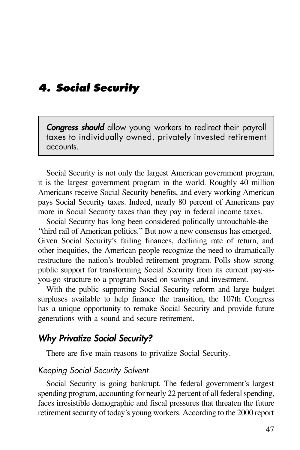## *4. Social Security*

*Congress should* allow young workers to redirect their payroll taxes to individually owned, privately invested retirement accounts.

Social Security is not only the largest American government program, it is the largest government program in the world. Roughly 40 million Americans receive Social Security benefits, and every working American pays Social Security taxes. Indeed, nearly 80 percent of Americans pay more in Social Security taxes than they pay in federal income taxes.

Social Security has long been considered politically untouchable-the ''third rail of American politics.'' But now a new consensus has emerged. Given Social Security's failing finances, declining rate of return, and other inequities, the American people recognize the need to dramatically restructure the nation's troubled retirement program. Polls show strong public support for transforming Social Security from its current pay-asyou-go structure to a program based on savings and investment.

With the public supporting Social Security reform and large budget surpluses available to help finance the transition, the 107th Congress has a unique opportunity to remake Social Security and provide future generations with a sound and secure retirement.

## *Why Privatize Social Security?*

There are five main reasons to privatize Social Security.

### *Keeping Social Security Solvent*

Social Security is going bankrupt. The federal government's largest spending program, accounting for nearly 22 percent of all federal spending, faces irresistible demographic and fiscal pressures that threaten the future retirement security of today's young workers. According to the 2000 report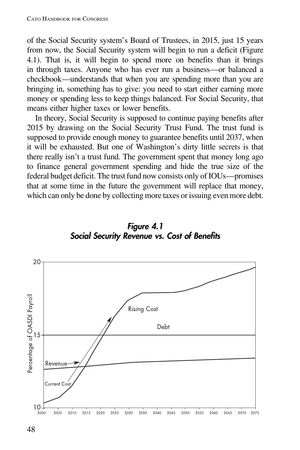of the Social Security system's Board of Trustees, in 2015, just 15 years from now, the Social Security system will begin to run a deficit (Figure 4.1). That is, it will begin to spend more on benefits than it brings in through taxes. Anyone who has ever run a business— or balanced a checkbook— understands that when you are spending more than you are bringing in, something has to give: you need to start either earning more money or spending less to keep things balanced. For Social Security, that means either higher taxes or lower benefits.

In theory, Social Security is supposed to continue paying benefits after 2015 by drawing on the Social Security Trust Fund. The trust fund is supposed to provide enough money to guarantee benefits until 2037, when it will be exhausted. But one of Washington's dirty little secrets is that there really isn't a trust fund. The government spent that money long ago to finance general government spending and hide the true size of the federal budget deficit. The trust fund now consists only of IOUs— promises that at some time in the future the government will replace that money, which can only be done by collecting more taxes or issuing even more debt.



## *Figure 4.1 Social Security Revenue vs. Cost of Benefits*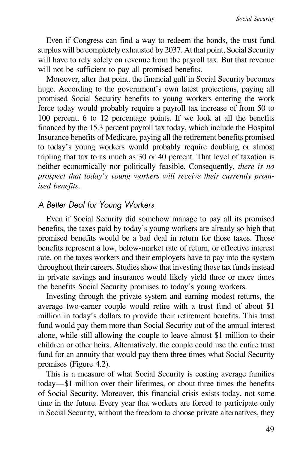Even if Congress can find a way to redeem the bonds, the trust fund surplus will be completely exhausted by 2037. At that point, Social Security will have to rely solely on revenue from the payroll tax. But that revenue will not be sufficient to pay all promised benefits.

Moreover, after that point, the financial gulf in Social Security becomes huge. According to the government's own latest projections, paying all promised Social Security benefits to young workers entering the work force today would probably require a payroll tax increase of from 50 to 100 percent, 6 to 12 percentage points. If we look at all the benefits financed by the 15.3 percent payroll tax today, which include the Hospital Insurance benefits of Medicare, paying all the retirement benefits promised to today's young workers would probably require doubling or almost tripling that tax to as much as 30 or 40 percent. That level of taxation is neither economically nor politically feasible. Consequently, *there is no prospect that today's young workers will receive their currently promised benefits*.

### *A Better Deal for Young Workers*

Even if Social Security did somehow manage to pay all its promised benefits, the taxes paid by today's young workers are already so high that promised benefits would be a bad deal in return for those taxes. Those benefits represent a low, below-market rate of return, or effective interest rate, on the taxes workers and their employers have to pay into the system throughout their careers. Studies show that investing those tax funds instead in private savings and insurance would likely yield three or more times the benefits Social Security promises to today's young workers.

Investing through the private system and earning modest returns, the average two-earner couple would retire with a trust fund of about \$1 million in today's dollars to provide their retirement benefits. This trust fund would pay them more than Social Security out of the annual interest alone, while still allowing the couple to leave almost \$1 million to their children or other heirs. Alternatively, the couple could use the entire trust fund for an annuity that would pay them three times what Social Security promises (Figure 4.2).

This is a measure of what Social Security is costing average families today— \$1 million over their lifetimes, or about three times the benefits of Social Security. Moreover, this financial crisis exists today, not some time in the future. Every year that workers are forced to participate only in Social Security, without the freedom to choose private alternatives, they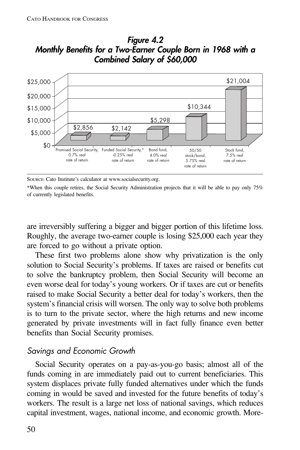

*Figure 4.2*

SOURCE: Cato Institute's calculator at www.socialsecurity.org.

\*When this couple retires, the Social Security Administration projects that it will be able to pay only 75% of currently legislated benefits.

are irreversibly suffering a bigger and bigger portion of this lifetime loss. Roughly, the average two-earner couple is losing \$25,000 each year they are forced to go without a private option.

These first two problems alone show why privatization is the only solution to Social Security's problems. If taxes are raised or benefits cut to solve the bankruptcy problem, then Social Security will become an even worse deal for today's young workers. Or if taxes are cut or benefits raised to make Social Security a better deal for today's workers, then the system's financial crisis will worsen. The only way to solve both problems is to turn to the private sector, where the high returns and new income generated by private investments will in fact fully finance even better benefits than Social Security promises.

### *Savings and Economic Growth*

Social Security operates on a pay-as-you-go basis; almost all of the funds coming in are immediately paid out to current beneficiaries. This system displaces private fully funded alternatives under which the funds coming in would be saved and invested for the future benefits of today's workers. The result is a large net loss of national savings, which reduces capital investment, wages, national income, and economic growth. More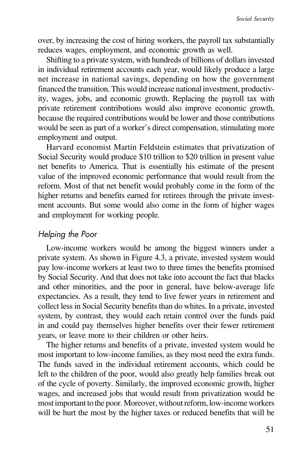over, by increasing the cost of hiring workers, the payroll tax substantially reduces wages, employment, and economic growth as well.

Shifting to a private system, with hundreds of billions of dollars invested in individual retirement accounts each year, would likely produce a large net increase in national savings, depending on how the government financed the transition. This would increase national investment, productivity, wages, jobs, and economic growth. Replacing the payroll tax with private retirement contributions would also improve economic growth, because the required contributions would be lower and those contributions would be seen as part of a worker's direct compensation, stimulating more employment and output.

Harvard economist Martin Feldstein estimates that privatization of Social Security would produce \$10 trillion to \$20 trillion in present value net benefits to America. That is essentially his estimate of the present value of the improved economic performance that would result from the reform. Most of that net benefit would probably come in the form of the higher returns and benefits earned for retirees through the private investment accounts. But some would also come in the form of higher wages and employment for working people.

### *Helping the Poor*

Low-income workers would be among the biggest winners under a private system. As shown in Figure 4.3, a private, invested system would pay low-income workers at least two to three times the benefits promised by Social Security. And that does not take into account the fact that blacks and other minorities, and the poor in general, have below-average life expectancies. As a result, they tend to live fewer years in retirement and collect less in Social Security benefits than do whites. In a private, invested system, by contrast, they would each retain control over the funds paid in and could pay themselves higher benefits over their fewer retirement years, or leave more to their children or other heirs.

The higher returns and benefits of a private, invested system would be most important to low-income families, as they most need the extra funds. The funds saved in the individual retirement accounts, which could be left to the children of the poor, would also greatly help families break out of the cycle of poverty. Similarly, the improved economic growth, higher wages, and increased jobs that would result from privatization would be most important to the poor. Moreover, without reform, low-income workers will be hurt the most by the higher taxes or reduced benefits that will be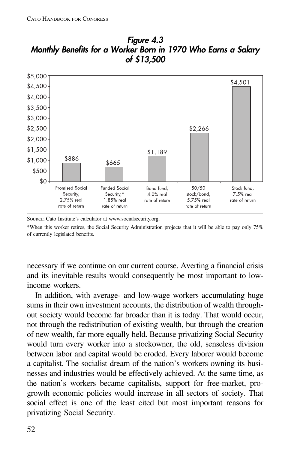

*Figure 4.3 Monthly Benefits for a Worker Born in 1970 Who Earns a Salary of \$13,500*

SOURCE: Cato Institute's calculator at www.socialsecurity.org.

\*When this worker retires, the Social Security Administration projects that it will be able to pay only 75% of currently legislated benefits.

necessary if we continue on our current course. Averting a financial crisis and its inevitable results would consequently be most important to lowincome workers.

In addition, with average- and low-wage workers accumulating huge sums in their own investment accounts, the distribution of wealth throughout society would become far broader than it is today. That would occur, not through the redistribution of existing wealth, but through the creation of new wealth, far more equally held. Because privatizing Social Security would turn every worker into a stockowner, the old, senseless division between labor and capital would be eroded. Every laborer would become a capitalist. The socialist dream of the nation's workers owning its businesses and industries would be effectively achieved. At the same time, as the nation's workers became capitalists, support for free-market, progrowth economic policies would increase in all sectors of society. That social effect is one of the least cited but most important reasons for privatizing Social Security.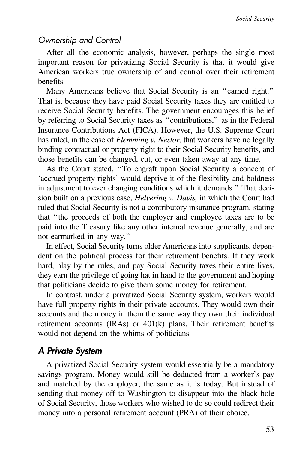### *Ownership and Control*

After all the economic analysis, however, perhaps the single most important reason for privatizing Social Security is that it would give American workers true ownership of and control over their retirement benefits.

Many Americans believe that Social Security is an "earned right." That is, because they have paid Social Security taxes they are entitled to receive Social Security benefits. The government encourages this belief by referring to Social Security taxes as '' contributions,'' as in the Federal Insurance Contributions Act (FICA). However, the U.S. Supreme Court has ruled, in the case of *Flemming v. Nestor,* that workers have no legally binding contractual or property right to their Social Security benefits, and those benefits can be changed, cut, or even taken away at any time.

As the Court stated, ''To engraft upon Social Security a concept of 'accrued property rights' would deprive it of the flexibility and boldness in adjustment to ever changing conditions which it demands.'' That decision built on a previous case, *Helvering v. Davis,* in which the Court had ruled that Social Security is not a contributory insurance program, stating that '' the proceeds of both the employer and employee taxes are to be paid into the Treasury like any other internal revenue generally, and are not earmarked in any way.''

In effect, Social Security turns older Americans into supplicants, dependent on the political process for their retirement benefits. If they work hard, play by the rules, and pay Social Security taxes their entire lives, they earn the privilege of going hat in hand to the government and hoping that politicians decide to give them some money for retirement.

In contrast, under a privatized Social Security system, workers would have full property rights in their private accounts. They would own their accounts and the money in them the same way they own their individual retirement accounts (IRAs) or 401(k) plans. Their retirement benefits would not depend on the whims of politicians.

### *A Private System*

A privatized Social Security system would essentially be a mandatory savings program. Money would still be deducted from a worker's pay and matched by the employer, the same as it is today. But instead of sending that money off to Washington to disappear into the black hole of Social Security, those workers who wished to do so could redirect their money into a personal retirement account (PRA) of their choice.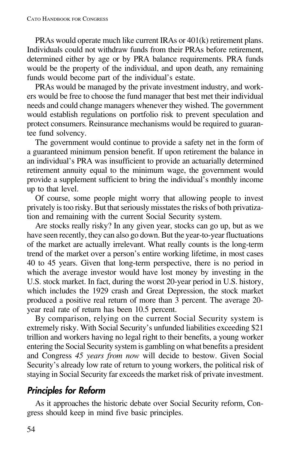PRAs would operate much like current IRAs or 401(k) retirement plans. Individuals could not withdraw funds from their PRAs before retirement, determined either by age or by PRA balance requirements. PRA funds would be the property of the individual, and upon death, any remaining funds would become part of the individual's estate.

PRAs would be managed by the private investment industry, and workers would be free to choose the fund manager that best met their individual needs and could change managers whenever they wished. The government would establish regulations on portfolio risk to prevent speculation and protect consumers. Reinsurance mechanisms would be required to guarantee fund solvency.

The government would continue to provide a safety net in the form of a guaranteed minimum pension benefit. If upon retirement the balance in an individual's PRA was insufficient to provide an actuarially determined retirement annuity equal to the minimum wage, the government would provide a supplement sufficient to bring the individual's monthly income up to that level.

Of course, some people might worry that allowing people to invest privately is too risky. But that seriously misstates the risks of both privatization and remaining with the current Social Security system.

Are stocks really risky? In any given year, stocks can go up, but as we have seen recently, they can also go down. But the year-to-year fluctuations of the market are actually irrelevant. What really counts is the long-term trend of the market over a person's entire working lifetime, in most cases 40 to 45 years. Given that long-term perspective, there is no period in which the average investor would have lost money by investing in the U.S. stock market. In fact, during the worst 20-year period in U.S. history, which includes the 1929 crash and Great Depression, the stock market produced a positive real return of more than 3 percent. The average 20 year real rate of return has been 10.5 percent.

By comparison, relying on the current Social Security system is extremely risky. With Social Security's unfunded liabilities exceeding \$21 trillion and workers having no legal right to their benefits, a young worker entering the Social Security system is gambling on what benefits a president and Congress *45 years from now* will decide to bestow. Given Social Security's already low rate of return to young workers, the political risk of staying in Social Security far exceeds the market risk of private investment.

# *Principles for Reform*

As it approaches the historic debate over Social Security reform, Congress should keep in mind five basic principles.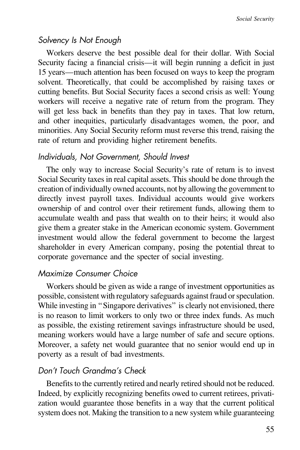### *Solvency Is Not Enough*

Workers deserve the best possible deal for their dollar. With Social Security facing a financial crisis— it will begin running a deficit in just 15 years— much attention has been focused on ways to keep the program solvent. Theoretically, that could be accomplished by raising taxes or cutting benefits. But Social Security faces a second crisis as well: Young workers will receive a negative rate of return from the program. They will get less back in benefits than they pay in taxes. That low return, and other inequities, particularly disadvantages women, the poor, and minorities. Any Social Security reform must reverse this trend, raising the rate of return and providing higher retirement benefits.

### *Individuals, Not Government, Should Invest*

The only way to increase Social Security's rate of return is to invest Social Security taxes in real capital assets. This should be done through the creation of individually owned accounts, not by allowing the government to directly invest payroll taxes. Individual accounts would give workers ownership of and control over their retirement funds, allowing them to accumulate wealth and pass that wealth on to their heirs; it would also give them a greater stake in the American economic system. Government investment would allow the federal government to become the largest shareholder in every American company, posing the potential threat to corporate governance and the specter of social investing.

### *Maximize Consumer Choice*

Workers should be given as wide a range of investment opportunities as possible, consistent with regulatory safeguards against fraud or speculation. While investing in "Singapore derivatives" is clearly not envisioned, there is no reason to limit workers to only two or three index funds. As much as possible, the existing retirement savings infrastructure should be used, meaning workers would have a large number of safe and secure options. Moreover, a safety net would guarantee that no senior would end up in poverty as a result of bad investments.

### *Don't Touch Grandma's Check*

Benefits to the currently retired and nearly retired should not be reduced. Indeed, by explicitly recognizing benefits owed to current retirees, privatization would guarantee those benefits in a way that the current political system does not. Making the transition to a new system while guaranteeing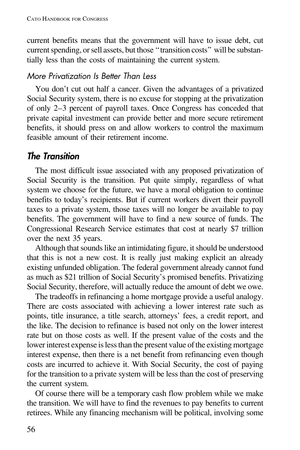current benefits means that the government will have to issue debt, cut current spending, or sell assets, but those '' transition costs'' will be substantially less than the costs of maintaining the current system.

## *More Privatization Is Better Than Less*

You don't cut out half a cancer. Given the advantages of a privatized Social Security system, there is no excuse for stopping at the privatization of only 2– 3 percent of payroll taxes. Once Congress has conceded that private capital investment can provide better and more secure retirement benefits, it should press on and allow workers to control the maximum feasible amount of their retirement income.

## *The Transition*

The most difficult issue associated with any proposed privatization of Social Security is the transition. Put quite simply, regardless of what system we choose for the future, we have a moral obligation to continue benefits to today's recipients. But if current workers divert their payroll taxes to a private system, those taxes will no longer be available to pay benefits. The government will have to find a new source of funds. The Congressional Research Service estimates that cost at nearly \$7 trillion over the next 35 years.

Although that sounds like an intimidating figure, it should be understood that this is not a new cost. It is really just making explicit an already existing unfunded obligation. The federal government already cannot fund as much as \$21 trillion of Social Security's promised benefits. Privatizing Social Security, therefore, will actually reduce the amount of debt we owe.

The tradeoffs in refinancing a home mortgage provide a useful analogy. There are costs associated with achieving a lower interest rate such as points, title insurance, a title search, attorneys' fees, a credit report, and the like. The decision to refinance is based not only on the lower interest rate but on those costs as well. If the present value of the costs and the lower interest expense is less than the present value of the existing mortgage interest expense, then there is a net benefit from refinancing even though costs are incurred to achieve it. With Social Security, the cost of paying for the transition to a private system will be less than the cost of preserving the current system.

Of course there will be a temporary cash flow problem while we make the transition. We will have to find the revenues to pay benefits to current retirees. While any financing mechanism will be political, involving some